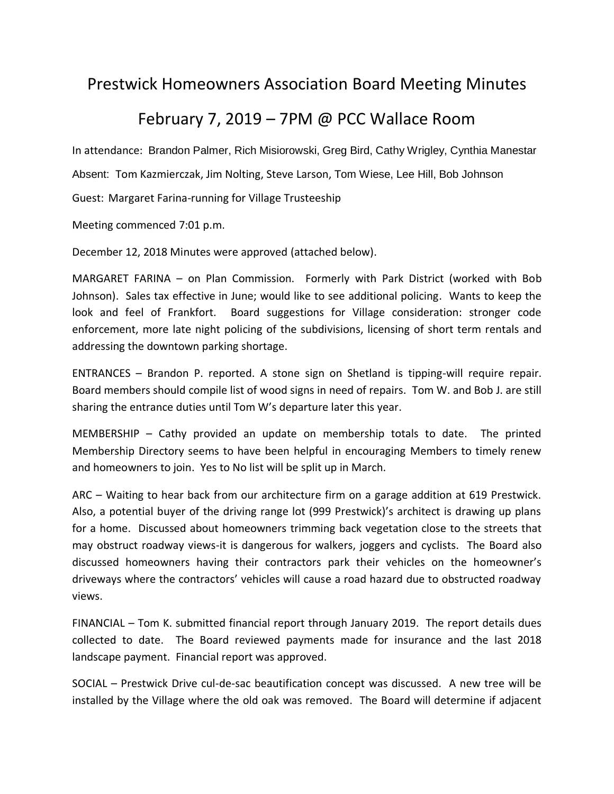## Prestwick Homeowners Association Board Meeting Minutes

## February 7, 2019 – 7PM @ PCC Wallace Room

In attendance: Brandon Palmer, Rich Misiorowski, Greg Bird, Cathy Wrigley, Cynthia Manestar Absent: Tom Kazmierczak, Jim Nolting, Steve Larson, Tom Wiese, Lee Hill, Bob Johnson Guest: Margaret Farina-running for Village Trusteeship

Meeting commenced 7:01 p.m.

December 12, 2018 Minutes were approved (attached below).

MARGARET FARINA – on Plan Commission. Formerly with Park District (worked with Bob Johnson). Sales tax effective in June; would like to see additional policing. Wants to keep the look and feel of Frankfort. Board suggestions for Village consideration: stronger code enforcement, more late night policing of the subdivisions, licensing of short term rentals and addressing the downtown parking shortage.

ENTRANCES – Brandon P. reported. A stone sign on Shetland is tipping-will require repair. Board members should compile list of wood signs in need of repairs. Tom W. and Bob J. are still sharing the entrance duties until Tom W's departure later this year.

MEMBERSHIP – Cathy provided an update on membership totals to date. The printed Membership Directory seems to have been helpful in encouraging Members to timely renew and homeowners to join. Yes to No list will be split up in March.

ARC – Waiting to hear back from our architecture firm on a garage addition at 619 Prestwick. Also, a potential buyer of the driving range lot (999 Prestwick)'s architect is drawing up plans for a home. Discussed about homeowners trimming back vegetation close to the streets that may obstruct roadway views-it is dangerous for walkers, joggers and cyclists. The Board also discussed homeowners having their contractors park their vehicles on the homeowner's driveways where the contractors' vehicles will cause a road hazard due to obstructed roadway views.

FINANCIAL – Tom K. submitted financial report through January 2019. The report details dues collected to date. The Board reviewed payments made for insurance and the last 2018 landscape payment. Financial report was approved.

SOCIAL – Prestwick Drive cul-de-sac beautification concept was discussed. A new tree will be installed by the Village where the old oak was removed. The Board will determine if adjacent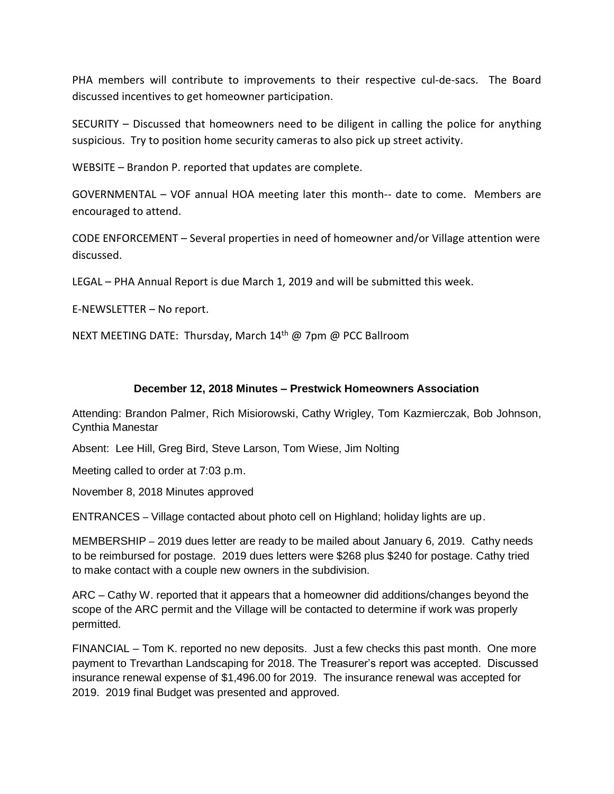PHA members will contribute to improvements to their respective cul-de-sacs. The Board discussed incentives to get homeowner participation.

SECURITY – Discussed that homeowners need to be diligent in calling the police for anything suspicious. Try to position home security cameras to also pick up street activity.

WEBSITE – Brandon P. reported that updates are complete.

GOVERNMENTAL – VOF annual HOA meeting later this month-- date to come. Members are encouraged to attend.

CODE ENFORCEMENT – Several properties in need of homeowner and/or Village attention were discussed.

LEGAL – PHA Annual Report is due March 1, 2019 and will be submitted this week.

E-NEWSLETTER – No report.

NEXT MEETING DATE: Thursday, March 14<sup>th</sup> @ 7pm @ PCC Ballroom

## **December 12, 2018 Minutes – Prestwick Homeowners Association**

Attending: Brandon Palmer, Rich Misiorowski, Cathy Wrigley, Tom Kazmierczak, Bob Johnson, Cynthia Manestar

Absent: Lee Hill, Greg Bird, Steve Larson, Tom Wiese, Jim Nolting

Meeting called to order at 7:03 p.m.

November 8, 2018 Minutes approved

ENTRANCES – Village contacted about photo cell on Highland; holiday lights are up.

MEMBERSHIP – 2019 dues letter are ready to be mailed about January 6, 2019. Cathy needs to be reimbursed for postage. 2019 dues letters were \$268 plus \$240 for postage. Cathy tried to make contact with a couple new owners in the subdivision.

ARC – Cathy W. reported that it appears that a homeowner did additions/changes beyond the scope of the ARC permit and the Village will be contacted to determine if work was properly permitted.

FINANCIAL – Tom K. reported no new deposits. Just a few checks this past month. One more payment to Trevarthan Landscaping for 2018. The Treasurer's report was accepted. Discussed insurance renewal expense of \$1,496.00 for 2019. The insurance renewal was accepted for 2019. 2019 final Budget was presented and approved.